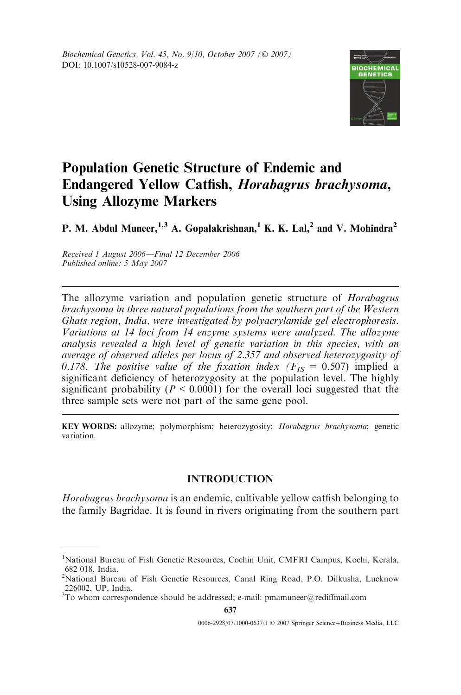

# Population Genetic Structure of Endemic and Endangered Yellow Catfish, Horabagrus brachysoma, Using Allozyme Markers

P. M. Abdul Muneer,  $^{1,3}$  A. Gopalakrishnan, <sup>1</sup> K. K. Lal, <sup>2</sup> and V. Mohindra<sup>2</sup>

Received 1 August 2006—Final 12 December 2006 Published online: 5 May 2007

The allozyme variation and population genetic structure of *Horabagrus* brachysoma in three natural populations from the southern part of the Western Ghats region, India, were investigated by polyacrylamide gel electrophoresis. Variations at 14 loci from 14 enzyme systems were analyzed. The allozyme analysis revealed a high level of genetic variation in this species, with an average of observed alleles per locus of 2.357 and observed heterozygosity of 0.178. The positive value of the fixation index ( $F_{IS} = 0.507$ ) implied a significant deficiency of heterozygosity at the population level. The highly significant probability ( $P \le 0.0001$ ) for the overall loci suggested that the three sample sets were not part of the same gene pool.

KEY WORDS: allozyme; polymorphism; heterozygosity; Horabagrus brachysoma; genetic variation.

## INTRODUCTION

Horabagrus brachysoma is an endemic, cultivable yellow catfish belonging to the family Bagridae. It is found in rivers originating from the southern part

<sup>&</sup>lt;sup>1</sup>National Bureau of Fish Genetic Resources, Cochin Unit, CMFRI Campus, Kochi, Kerala, 682 018, India.

<sup>&</sup>lt;sup>2</sup>National Bureau of Fish Genetic Resources, Canal Ring Road, P.O. Dilkusha, Lucknow 226002, UP, India.

 $3$ To whom correspondence should be addressed; e-mail: pmamuneer@rediffmail.com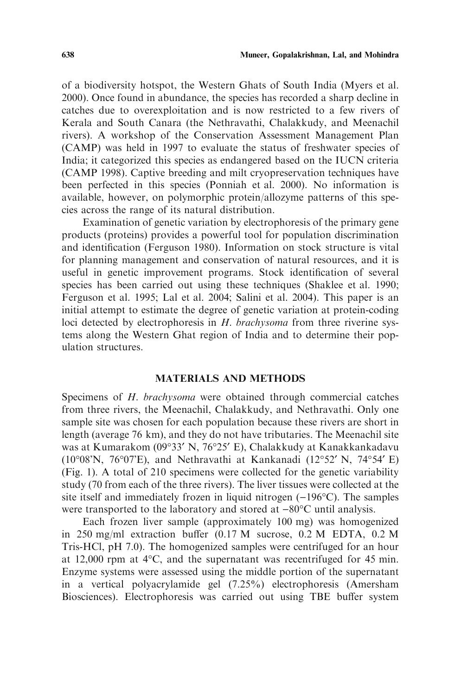of a biodiversity hotspot, the Western Ghats of South India (Myers et al. 2000). Once found in abundance, the species has recorded a sharp decline in catches due to overexploitation and is now restricted to a few rivers of Kerala and South Canara (the Nethravathi, Chalakkudy, and Meenachil rivers). A workshop of the Conservation Assessment Management Plan (CAMP) was held in 1997 to evaluate the status of freshwater species of India; it categorized this species as endangered based on the IUCN criteria (CAMP 1998). Captive breeding and milt cryopreservation techniques have been perfected in this species (Ponniah et al. 2000). No information is available, however, on polymorphic protein/allozyme patterns of this species across the range of its natural distribution.

Examination of genetic variation by electrophoresis of the primary gene products (proteins) provides a powerful tool for population discrimination and identification (Ferguson 1980). Information on stock structure is vital for planning management and conservation of natural resources, and it is useful in genetic improvement programs. Stock identification of several species has been carried out using these techniques (Shaklee et al. 1990; Ferguson et al. 1995; Lal et al. 2004; Salini et al. 2004). This paper is an initial attempt to estimate the degree of genetic variation at protein-coding loci detected by electrophoresis in H. brachysoma from three riverine systems along the Western Ghat region of India and to determine their population structures.

#### MATERIALS AND METHODS

Specimens of H. brachysoma were obtained through commercial catches from three rivers, the Meenachil, Chalakkudy, and Nethravathi. Only one sample site was chosen for each population because these rivers are short in length (average 76 km), and they do not have tributaries. The Meenachil site was at Kumarakom (09°33′ N, 76°25′ E), Chalakkudy at Kanakkankadavu  $(10^{\circ}08'N, 76^{\circ}07'E)$ , and Nethravathi at Kankanadi  $(12^{\circ}52'N, 74^{\circ}54'E)$ (Fig. 1). A total of 210 specimens were collected for the genetic variability study (70 from each of the three rivers). The liver tissues were collected at the site itself and immediately frozen in liquid nitrogen  $(-196^{\circ}C)$ . The samples were transported to the laboratory and stored at  $-80^{\circ}$ C until analysis.

Each frozen liver sample (approximately 100 mg) was homogenized in 250 mg/ml extraction buffer (0.17 M sucrose, 0.2 M EDTA, 0.2 M Tris-HCl, pH 7.0). The homogenized samples were centrifuged for an hour at 12,000 rpm at  $4^{\circ}$ C, and the supernatant was recentrifuged for 45 min. Enzyme systems were assessed using the middle portion of the supernatant in a vertical polyacrylamide gel (7.25%) electrophoresis (Amersham Biosciences). Electrophoresis was carried out using TBE buffer system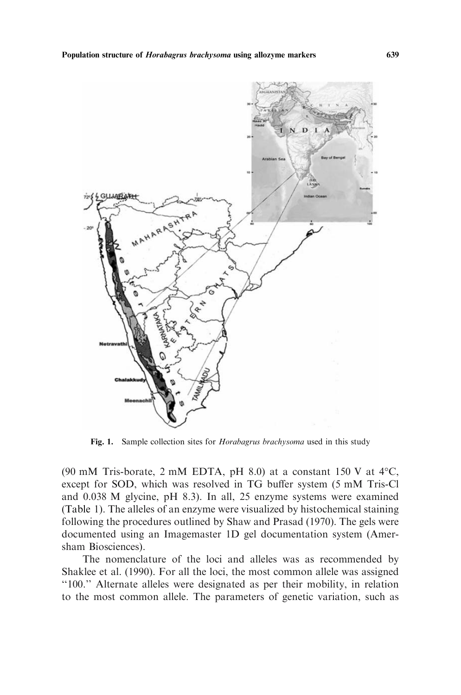

Fig. 1. Sample collection sites for *Horabagrus brachysoma* used in this study

(90 mM Tris-borate, 2 mM EDTA, pH 8.0) at a constant 150 V at  $4^{\circ}$ C, except for SOD, which was resolved in TG buffer system (5 mM Tris-Cl and 0.038 M glycine, pH 8.3). In all, 25 enzyme systems were examined (Table 1). The alleles of an enzyme were visualized by histochemical staining following the procedures outlined by Shaw and Prasad (1970). The gels were documented using an Imagemaster 1D gel documentation system (Amersham Biosciences).

The nomenclature of the loci and alleles was as recommended by Shaklee et al. (1990). For all the loci, the most common allele was assigned ''100.'' Alternate alleles were designated as per their mobility, in relation to the most common allele. The parameters of genetic variation, such as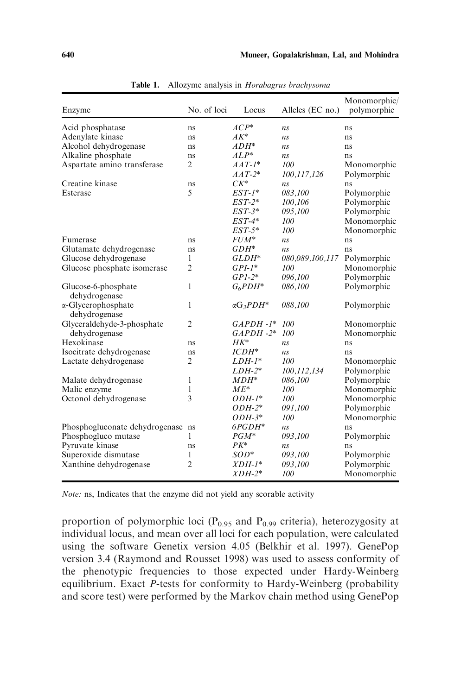| Enzyme                               | No. of loci    | Locus                | Alleles (EC no.) | Monomorphic/<br>polymorphic |
|--------------------------------------|----------------|----------------------|------------------|-----------------------------|
| Acid phosphatase                     | ns             | $ACP^*$              | ns               | ns                          |
| Adenylate kinase                     | ns             | $AK^*$               | ns               | ns                          |
| Alcohol dehydrogenase                | ns             | $ADH^*$              | ns               | ns                          |
| Alkaline phosphate                   | ns             | $ALP^*$              | ns               | ns                          |
| Aspartate amino transferase          | 2              | $AAT-I^*$            | 100              | Monomorphic                 |
|                                      |                | $AAT-2^*$            | 100,117,126      | Polymorphic                 |
| Creatine kinase                      | ns             | $CK^*$               | ns               | ns                          |
| Esterase                             | 5              | $EST-1*$             | 083,100          | Polymorphic                 |
|                                      |                | $EST-2*$             | 100,106          | Polymorphic                 |
|                                      |                | $EST-3*$             | 095,100          | Polymorphic                 |
|                                      |                | $EST-4*$             | 100              | Monomorphic                 |
|                                      |                | $EST-5*$             | 100              | Monomorphic                 |
| Fumerase                             | ns             | <i>FUM*</i>          | ns               | ns                          |
| Glutamate dehydrogenase              | ns             | GDH*                 | ns               | ns                          |
| Glucose dehydrogenase                | 1              | GLDH*                | 080,089,100,117  | Polymorphic                 |
| Glucose phosphate isomerase          | $\overline{2}$ | $GPI-1^*$            | 100              | Monomorphic                 |
|                                      |                | $GPI-2*$             | 096,100          | Polymorphic                 |
| Glucose-6-phosphate<br>dehydrogenase | 1              | $G_6PDH^*$           | 086,100          | Polymorphic                 |
| α-Glycerophosphate<br>dehydrogenase  | 1              | $\alpha G_3 P D H^*$ | 088,100          | Polymorphic                 |
| Glyceraldehyde-3-phosphate           | $\overline{2}$ | $GAPDH-1*$           | 100              | Monomorphic                 |
| dehydrogenase                        |                | $GAPDH-2*$           | 100              | Monomorphic                 |
| Hexokinase                           | ns             | $HK^*$               | ns               | ns                          |
| Isocitrate dehydrogenase             | ns             | $ICDH^*$             | n <sub>s</sub>   | ns                          |
| Lactate dehydrogenase                | $\overline{2}$ | $LDH-1*$             | 100              | Monomorphic                 |
|                                      |                | LDH-2*               | 100,112,134      | Polymorphic                 |
| Malate dehydrogenase                 | 1              | MDH*                 | 086,100          | Polymorphic                 |
| Malic enzyme                         | 1              | $ME^*$               | 100              | Monomorphic                 |
| Octonol dehydrogenase                | 3              | <i>ODH-1*</i>        | 100              | Monomorphic                 |
|                                      |                | <i>ODH-2*</i>        | 091,100          | Polymorphic                 |
|                                      |                | $ODH-3*$             | 100              | Monomorphic                 |
| Phosphogluconate dehydrogenase ns    |                | $6PGDH^*$            | ns               | ns                          |
| Phosphogluco mutase                  | 1              | $PGM^*$              | 093,100          | Polymorphic                 |
| Pyruvate kinase                      | ns             | $PK^*$               | ns               | ns                          |
| Superoxide dismutase                 | 1              | $SOD^*$              | 093,100          | Polymorphic                 |
| Xanthine dehydrogenase               | $\overline{2}$ | $XDH-1^*$            | 093,100          | Polymorphic                 |
|                                      |                | $XDH-2^*$            | 100              | Monomorphic                 |

Table 1. Allozyme analysis in Horabagrus brachysoma

Note: ns, Indicates that the enzyme did not yield any scorable activity

proportion of polymorphic loci ( $P_{0.95}$  and  $P_{0.99}$  criteria), heterozygosity at individual locus, and mean over all loci for each population, were calculated using the software Genetix version 4.05 (Belkhir et al. 1997). GenePop version 3.4 (Raymond and Rousset 1998) was used to assess conformity of the phenotypic frequencies to those expected under Hardy-Weinberg equilibrium. Exact P-tests for conformity to Hardy-Weinberg (probability and score test) were performed by the Markov chain method using GenePop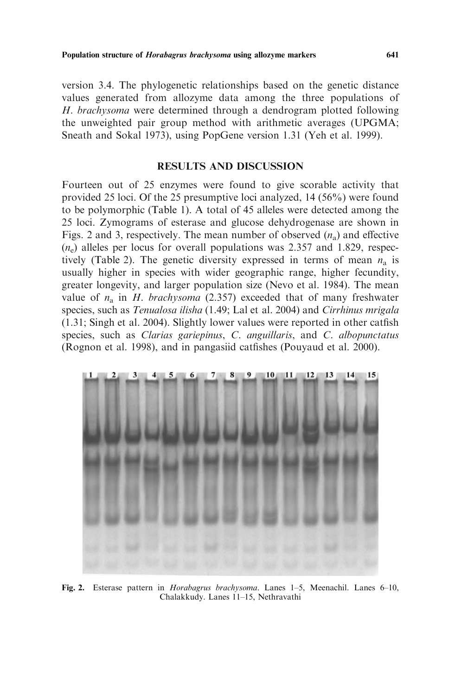version 3.4. The phylogenetic relationships based on the genetic distance values generated from allozyme data among the three populations of H. brachysoma were determined through a dendrogram plotted following the unweighted pair group method with arithmetic averages (UPGMA; Sneath and Sokal 1973), using PopGene version 1.31 (Yeh et al. 1999).

### RESULTS AND DISCUSSION

Fourteen out of 25 enzymes were found to give scorable activity that provided 25 loci. Of the 25 presumptive loci analyzed, 14 (56%) were found to be polymorphic (Table 1). A total of 45 alleles were detected among the 25 loci. Zymograms of esterase and glucose dehydrogenase are shown in Figs. 2 and 3, respectively. The mean number of observed  $(n_a)$  and effective  $(n_e)$  alleles per locus for overall populations was 2.357 and 1.829, respectively (Table 2). The genetic diversity expressed in terms of mean  $n_a$  is usually higher in species with wider geographic range, higher fecundity, greater longevity, and larger population size (Nevo et al. 1984). The mean value of  $n_a$  in *H. brachysoma* (2.357) exceeded that of many freshwater species, such as Tenualosa ilisha (1.49; Lal et al. 2004) and Cirrhinus mrigala (1.31; Singh et al. 2004). Slightly lower values were reported in other catfish species, such as *Clarias gariepinus*, *C. anguillaris*, and *C. albopunctatus* (Rognon et al. 1998), and in pangasiid catfishes (Pouyaud et al. 2000).



Fig. 2. Esterase pattern in Horabagrus brachysoma. Lanes 1–5, Meenachil. Lanes 6–10, Chalakkudy. Lanes 11–15, Nethravathi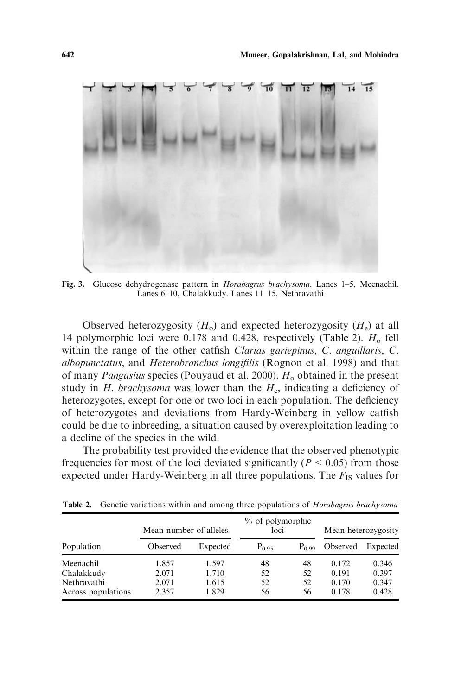

Fig. 3. Glucose dehydrogenase pattern in Horabagrus brachysoma. Lanes 1–5, Meenachil. Lanes 6–10, Chalakkudy. Lanes 11–15, Nethravathi

Observed heterozygosity  $(H_0)$  and expected heterozygosity  $(H_e)$  at all 14 polymorphic loci were 0.178 and 0.428, respectively (Table 2).  $H_0$  fell within the range of the other catfish Clarias gariepinus, C. anguillaris, C. albopunctatus, and Heterobranchus longifilis (Rognon et al. 1998) and that of many *Pangasius* species (Pouyaud et al. 2000).  $H_0$  obtained in the present study in  $H$ . brachysoma was lower than the  $H<sub>e</sub>$ , indicating a deficiency of heterozygotes, except for one or two loci in each population. The deficiency of heterozygotes and deviations from Hardy-Weinberg in yellow catfish could be due to inbreeding, a situation caused by overexploitation leading to a decline of the species in the wild.

The probability test provided the evidence that the observed phenotypic frequencies for most of the loci deviated significantly ( $P \le 0.05$ ) from those expected under Hardy-Weinberg in all three populations. The  $F_{IS}$  values for

|                    | Mean number of alleles |          | % of polymorphic<br>loci |          | Mean heterozygosity |          |
|--------------------|------------------------|----------|--------------------------|----------|---------------------|----------|
| Population         | Observed               | Expected | $P_{0.95}$               | $P_0$ 99 | Observed            | Expected |
| Meenachil          | 1.857                  | 1.597    | 48                       | 48       | 0.172               | 0.346    |
| Chalakkudy         | 2.071                  | 1.710    | 52                       | 52       | 0.191               | 0.397    |
| Nethravathi        | 2.071                  | 1.615    | 52                       | 52       | 0.170               | 0.347    |
| Across populations | 2.357                  | 1.829    | 56                       | 56       | 0.178               | 0.428    |

Table 2. Genetic variations within and among three populations of Horabagrus brachysoma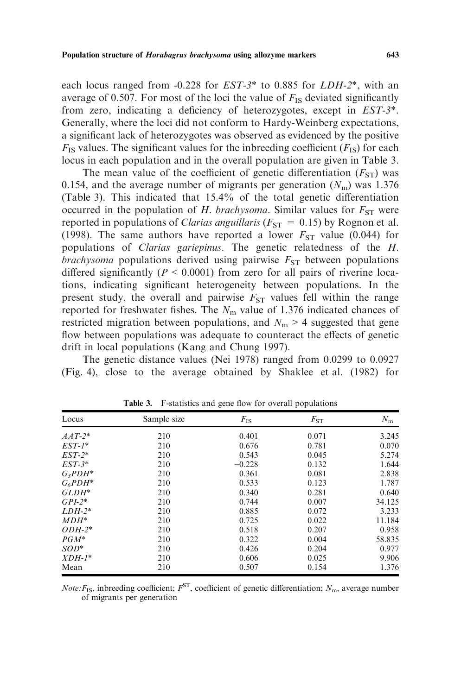each locus ranged from -0.228 for EST-3\* to 0.885 for LDH-2\*, with an average of 0.507. For most of the loci the value of  $F_{IS}$  deviated significantly from zero, indicating a deficiency of heterozygotes, except in EST-3\*. Generally, where the loci did not conform to Hardy-Weinberg expectations, a significant lack of heterozygotes was observed as evidenced by the positive  $F_{\text{IS}}$  values. The significant values for the inbreeding coefficient  $(F_{\text{IS}})$  for each locus in each population and in the overall population are given in Table 3.

The mean value of the coefficient of genetic differentiation  $(F_{ST})$  was 0.154, and the average number of migrants per generation  $(N<sub>m</sub>)$  was 1.376 (Table 3). This indicated that 15.4% of the total genetic differentiation occurred in the population of H. brachysoma. Similar values for  $F_{ST}$  were reported in populations of *Clarias anguillaris* ( $F_{ST} = 0.15$ ) by Rognon et al. (1998). The same authors have reported a lower  $F_{ST}$  value (0.044) for populations of Clarias gariepinus. The genetic relatedness of the H. brachysoma populations derived using pairwise  $F_{ST}$  between populations differed significantly ( $P < 0.0001$ ) from zero for all pairs of riverine locations, indicating significant heterogeneity between populations. In the present study, the overall and pairwise  $F_{ST}$  values fell within the range reported for freshwater fishes. The  $N<sub>m</sub>$  value of 1.376 indicated chances of restricted migration between populations, and  $N<sub>m</sub> > 4$  suggested that gene flow between populations was adequate to counteract the effects of genetic drift in local populations (Kang and Chung 1997).

The genetic distance values (Nei 1978) ranged from 0.0299 to 0.0927 (Fig. 4), close to the average obtained by Shaklee et al. (1982) for

| Locus      | Sample size | $F_{\rm IS}$ | $F_{ST}$ | $N_{\rm m}$ |
|------------|-------------|--------------|----------|-------------|
| $AAT-2^*$  | 210         | 0.401        | 0.071    | 3.245       |
| $EST-1*$   | 210         | 0.676        | 0.781    | 0.070       |
| $EST-2*$   | 210         | 0.543        | 0.045    | 5.274       |
| $EST-3*$   | 210         | $-0.228$     | 0.132    | 1.644       |
| $G_3PDH^*$ | 210         | 0.361        | 0.081    | 2.838       |
| $G_6PDH^*$ | 210         | 0.533        | 0.123    | 1.787       |
| $GLDH^*$   | 210         | 0.340        | 0.281    | 0.640       |
| $GPI-2*$   | 210         | 0.744        | 0.007    | 34.125      |
| $LDH-2*$   | 210         | 0.885        | 0.072    | 3.233       |
| $MDH^*$    | 210         | 0.725        | 0.022    | 11.184      |
| $ODH-2*$   | 210         | 0.518        | 0.207    | 0.958       |
| $PGM^*$    | 210         | 0.322        | 0.004    | 58.835      |
| $SOD^*$    | 210         | 0.426        | 0.204    | 0.977       |
| $XDH-1^*$  | 210         | 0.606        | 0.025    | 9.906       |
| Mean       | 210         | 0.507        | 0.154    | 1.376       |

Table 3. F-statistics and gene flow for overall populations

*Note:*  $F_{\text{IS}}$ , inbreeding coefficient;  $F^{\text{ST}}$ , coefficient of genetic differentiation;  $N_{\text{m}}$ , average number of migrants per generation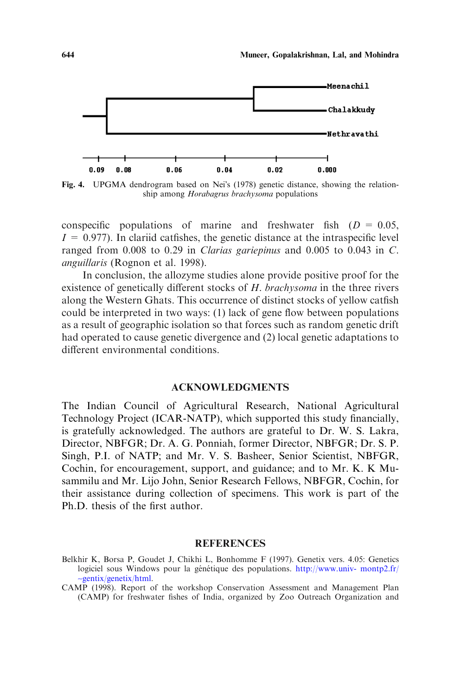

Fig. 4. UPGMA dendrogram based on Neis (1978) genetic distance, showing the relationship among Horabagrus brachysoma populations

conspecific populations of marine and freshwater fish  $(D = 0.05$ ,  $I = 0.977$ ). In clariid catfishes, the genetic distance at the intraspecific level ranged from 0.008 to 0.29 in Clarias gariepinus and 0.005 to 0.043 in C. anguillaris (Rognon et al. 1998).

In conclusion, the allozyme studies alone provide positive proof for the existence of genetically different stocks of H. brachysoma in the three rivers along the Western Ghats. This occurrence of distinct stocks of yellow catfish could be interpreted in two ways: (1) lack of gene flow between populations as a result of geographic isolation so that forces such as random genetic drift had operated to cause genetic divergence and (2) local genetic adaptations to different environmental conditions.

#### ACKNOWLEDGMENTS

The Indian Council of Agricultural Research, National Agricultural Technology Project (ICAR-NATP), which supported this study financially, is gratefully acknowledged. The authors are grateful to Dr. W. S. Lakra, Director, NBFGR; Dr. A. G. Ponniah, former Director, NBFGR; Dr. S. P. Singh, P.I. of NATP; and Mr. V. S. Basheer, Senior Scientist, NBFGR, Cochin, for encouragement, support, and guidance; and to Mr. K. K Musammilu and Mr. Lijo John, Senior Research Fellows, NBFGR, Cochin, for their assistance during collection of specimens. This work is part of the Ph.D. thesis of the first author.

#### REFERENCES

- Belkhir K, Borsa P, Goudet J, Chikhi L, Bonhomme F (1997). Genetix vers. 4.05: Genetics logiciel sous Windows pour la génétique des populations. [http://www.univ- montp2.fr/](http://www.univ- montp2.fr/∼gentix/genetix/html) ~[gentix/genetix/html.](http://www.univ- montp2.fr/∼gentix/genetix/html)
- CAMP (1998). Report of the workshop Conservation Assessment and Management Plan (CAMP) for freshwater fishes of India, organized by Zoo Outreach Organization and